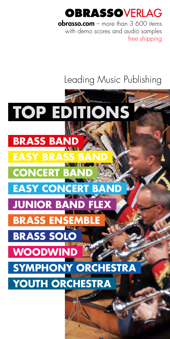# OBRASSOVFRI AG

**obrasso.com** – more than  $3,600$  items with demo scores and audio samples free shipping

# Leading Music Publishing

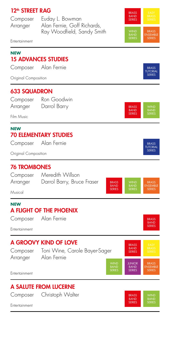## 12<sup>th</sup> STREET RAG

Composer Euday L. Bowman Arranger Alan Fernie, Goff Richards, Ray Woodfield, Sandy Smith



Entertainment

#### **NEW** 15 ADVANCES STUDIES Composer Alan Fernie Original Composition BRASS **TUTORIAL** SERIES 633 SQUADRON Composer Ron Goodwin Arranger Darrol Barry Film Music **BRASS** BAND **SERIES** BAND **NEW** 70 ELEMENTARY STUDIES Composer Alan Fernie Original Composition BRASS TUTORIAL **SERIES** 76 TROMBONES Composer Meredith Willson Arranger Darrol Barry, Bruce Fraser Musical BRASS BAND SERIES BRASS **JSEMP** SERIES **NEW** A FLIGHT OF THE PHOENIX Composer Alan Fernie Entertainment BRASS BAND **SERIES** A GROOVY KIND OF LOVE Composer Toni Wine, Carole Bayer-Sager Arranger Alan Fernie **Entertainment JUNIOR** BAND **SERIES** BRASS BAND SERIES BRASS ENSEMBLE SERIES A SALUTE FROM LUCERNE Composer Christoph Walter **Entertainment BRASS** BAND SERIES BAND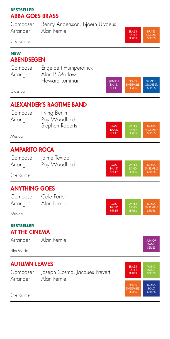#### **BESTSELLER** ABBA GOES BRASS

Composer Benny Andersson, Bjoern Ulvaeus Arranger Alan Fernie

Entertainment

#### **NEW ABENDSEGEN**

| Composer | Engelbert Humperdinck |
|----------|-----------------------|
| Arranger | Alan P. Marlow,       |
|          | Howard Lorriman       |

Classical

## ALEXANDER'S RAGTIME BAND

Composer Irving Berlin Arranger Ray Woodfield, Stephen Roberts

Musical

## AMPARITO ROCA

Arranger Ray Woodfield

Composer Jaime Texidor



WIND BAND

BRASS BAND SERIES

BRASS ENSEMBLE SERIES

JUNIOR BAND SERIES

**BRASS** BAND SERIES

BRASS BAND SERIES

ENSEMBLE SERIES

**SYMPH ORCHEST** SERIES

BRASS ENSEMBLE SERIES

> BRASS **NSEMBLE SERIES**

JUNIOR BAND SERIES<br>SERIES

Entertainment

## ANYTHING GOES

Composer Cole Porter Arranger Alan Fernie

Musical

#### **BESTSELLER** AT THE CINEMA

Arranger Alan Fernie

Film Music

## AUTUMN LEAVES

Arranger Alan Fernie

Composer Joseph Cosma, Jacques Prevert



**Entertainment**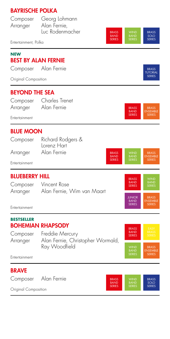## BAYRISCHE POLKA

| Entertainment, Polka  | Composer Georg Lohmann<br>Arranger Alan Fernie,<br>Luc Rodenmacher | <b>WIND</b><br><b>BRASS</b><br><b>BAND</b><br><b>BAND</b><br><b>SERIES</b><br><b>SERIES</b> | <b>BRASS</b><br>SOLO<br><b>SERIES</b> |
|-----------------------|--------------------------------------------------------------------|---------------------------------------------------------------------------------------------|---------------------------------------|
|                       |                                                                    |                                                                                             |                                       |
| <b>NEW</b>            | <b>BEST BY ALAN FERNIE</b>                                         |                                                                                             |                                       |
|                       | Composer Alan Fernie                                               |                                                                                             | <b>BRASS</b><br><b>TUTORIAL</b>       |
| Original Composition  |                                                                    |                                                                                             | <b>SERIES</b>                         |
| <b>BEYOND THE SEA</b> |                                                                    |                                                                                             |                                       |
|                       | Composer Charles Trenet<br>Arranger Alan Fernie                    | <b>BRASS</b><br><b>BAND</b>                                                                 | <b>BRASS</b><br><b>ENSEMBLE</b>       |
| Entertainment         |                                                                    | <b>SERIES</b>                                                                               | <b>SERIES</b>                         |
| <b>BLUE MOON</b>      |                                                                    |                                                                                             |                                       |
|                       | Composer Richard Rodgers &<br><b>Lorenz Hart</b>                   |                                                                                             |                                       |
|                       | Arranger Alan Fernie                                               | <b>WIND</b><br><b>BRASS</b><br><b>BAND</b><br><b>BAND</b>                                   | <b>BRASS</b><br><b>ENSEMBLE</b>       |
| Entertainment         |                                                                    | <b>SERIES</b><br><b>SERIES</b>                                                              | <b>SERIES</b>                         |
| <b>BLUEBERRY HILL</b> |                                                                    | <b>BRASS</b>                                                                                | <b>WIND</b>                           |
|                       | Composer Vincent Rose                                              | <b>BAND</b><br><b>SERIES</b>                                                                | <b>BAND</b><br><b>SERIES</b>          |
|                       | Arranger Alan Fernie, Wim van Maart                                | <b>JUNIOR</b><br><b>BAND</b>                                                                | <b>BRASS</b><br><b>ENSEMBLE</b>       |
| Entertainment         |                                                                    | <b>SERIES</b>                                                                               | <b>SERIES</b>                         |
| <b>BESTSELLER</b>     |                                                                    |                                                                                             |                                       |

# BOHEMIAN RHAPSODY

Composer Freddie Mercury Arranger Alan Fernie, Christopher Wormald, Ray Woodfield BRASS BAND SERIES WIND BAND SERIES BRASS ENSEMBLE SERIES

Entertainment

## BRAVE

Composer Alan Fernie



Original Composition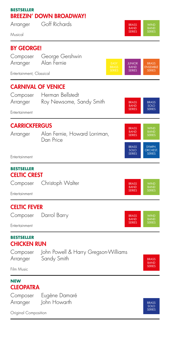#### **BESTSELLER** BREEZIN' DOWN BROADWAY!

Arranger Goff Richards

Musical

## BY GEORGE!

|                      | Composer George Gershwin |
|----------------------|--------------------------|
| Arranger Alan Fernie |                          |
|                      |                          |

Entertainment, Classical

## CARNIVAL OF VENICE

|               | Composer Herman Bellstedt |                             |                      |
|---------------|---------------------------|-----------------------------|----------------------|
| Arranger      | Roy Newsome, Sandy Smith  | <b>BRASS</b><br><b>BAND</b> | <b>BRASS</b><br>SOLO |
| Entertainment |                           | <b>SERIES</b>               | <b>SERIES</b>        |
|               |                           |                             |                      |

## **CARRICKFERGUS**

| 6 H I<br>ı. |
|-------------|
|-------------|

Alan Fernie, Howard Lorriman, Dan Price

**Entertainment** 

#### **BESTSELLER** CELTIC CREST

| Composer             | Christoph Walter | <b>BRASS</b><br><b>BAND</b><br><b>SERIES</b> | <b>WIND</b><br><b>BAND</b><br><b>SERIES</b> |
|----------------------|------------------|----------------------------------------------|---------------------------------------------|
| <b>Entertainment</b> |                  |                                              |                                             |

## CELTIC FEVER

| Composer      | Darrol Barry | <b>BRASS</b><br><b>BAND</b> | <b>WIND</b><br><b>BAND</b> |
|---------------|--------------|-----------------------------|----------------------------|
| Entertainment |              | <b>SERIES</b>               | <b>SERIES</b>              |

#### **BESTSELLER** CHICKEN RUN

|          | Composer John Powell & Harry Gregson-Williams |
|----------|-----------------------------------------------|
| Arranger | Sandy Smith                                   |

Film Music

#### **NEW CLEOPATRA**

Composer Eugène Damaré Arranger John Howarth

Original Composition



BRASS **BAND** SERIES

BAND

BRASS ENSEMBLE SERIES

> **SYMPH** RCHES **SERIES**

BAND

BRASS BAND SERIES

**JUNIOR** BAND **SERIES** 

BRASS SOLO **SERIES** 

BRASS BAND SERIES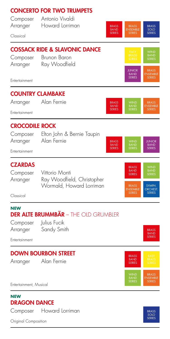|                                  | <b>CONCERTO FOR TWO TRUMPETS</b>            |                              |                                                  |                                                  |
|----------------------------------|---------------------------------------------|------------------------------|--------------------------------------------------|--------------------------------------------------|
| Composer<br>Arranger             | Antonio Vivaldi<br>Howard Lorriman          | <b>BRASS</b>                 | <b>BRASS</b>                                     | <b>BRASS</b>                                     |
| Classical                        |                                             | <b>BAND</b><br><b>SERIES</b> | <b>ENSEMBLE</b><br><b>SERIES</b>                 | SOLO<br><b>SERIES</b>                            |
|                                  | <b>COSSACK RIDE &amp; SLAVONIC DANCE</b>    |                              |                                                  |                                                  |
| Composer                         | Brunon Baron                                |                              | EASY<br>BRASS<br>SERIES                          | WIND<br>BAND<br>SERIES                           |
| Arranger                         | Ray Woodfield                               |                              | <b>JUNIOR</b>                                    | <b>BRASS</b>                                     |
| Entertainment                    |                                             |                              | <b>BAND</b><br><b>SERIES</b>                     | <b>ENSEMBLE</b><br><b>SERIES</b>                 |
|                                  | <b>COUNTRY CLAMBAKE</b>                     |                              |                                                  |                                                  |
| Arranger                         | Alan Fernie                                 | <b>BRASS</b><br><b>BAND</b>  | <b>WIND</b><br><b>BAND</b>                       | <b>BRASS</b><br><b>ENSEMBLE</b>                  |
| Entertainment                    |                                             | <b>SERIES</b>                | <b>SERIES</b>                                    | <b>SERIES</b>                                    |
| <b>CROCODILE ROCK</b>            |                                             |                              |                                                  |                                                  |
| Composer<br>Arranger             | Elton John & Bernie Taupin<br>Alan Fernie   | <b>BRASS</b>                 | <b>WIND</b>                                      | <b>JUNIOR</b>                                    |
| Entertainment                    |                                             | <b>BAND</b><br><b>SERIES</b> | <b>BAND</b><br><b>SERIES</b>                     | <b>BAND</b><br><b>SERIES</b>                     |
|                                  |                                             |                              |                                                  |                                                  |
| <b>CZARDAS</b><br>Composer       | Vittorio Monti                              |                              | <b>BRASS</b><br><b>BAND</b><br><b>SERIES</b>     | <b>WIND</b><br><b>BAND</b><br><b>SERIES</b>      |
| Arranger                         | Ray Woodfield, Christopher                  |                              |                                                  |                                                  |
| Classical                        | Wormald, Howard Lorriman                    |                              | <b>BRASS</b><br><b>ENSEMBLE</b><br><b>SERIES</b> | SYMPH.<br><b>ORCHEST.</b><br><b>SERIES</b>       |
|                                  |                                             |                              |                                                  |                                                  |
| <b>NEW</b>                       | <b>DER ALTE BRUMMBÄR</b> – THE OLD GRUMBLER |                              |                                                  |                                                  |
| Composer                         | Julius Fucik                                |                              |                                                  |                                                  |
| Arranger<br>Entertainment        | Sandy Smith                                 |                              |                                                  | <b>BRASS</b><br><b>BAND</b><br><b>SERIES</b>     |
|                                  |                                             |                              |                                                  |                                                  |
| Arranger                         | <b>DOWN BOURBON STREET</b><br>Alan Fernie   |                              | <b>BRASS</b><br><b>BAND</b>                      | EASY<br><b>BRASS</b>                             |
|                                  |                                             |                              | SERIES                                           |                                                  |
| Entertainment, Musical           |                                             |                              | <b>WIND</b><br><b>BAND</b><br><b>SERIES</b>      | <b>BRASS</b><br><b>ENSEMBLE</b><br><b>SERIES</b> |
| NEW                              |                                             |                              |                                                  |                                                  |
| <b>DRAGON DANCE</b>              | Howard Lorriman                             |                              |                                                  |                                                  |
| Composer<br>Original Composition |                                             |                              |                                                  | <b>BRASS</b><br>SOLO<br><b>SERIES</b>            |
|                                  |                                             |                              |                                                  |                                                  |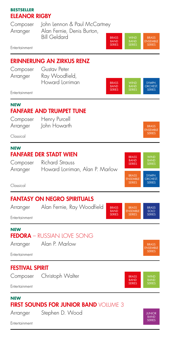#### **BESTSELLER** ELEANOR RIGBY

| Composer |  |
|----------|--|
| Arranger |  |

John Lennon & Paul McCartney Alan Fernie, Denis Burton, Bill Geldard

Entertainment

## ERINNERUNG AN ZIRKUS RENZ

Composer Gustav Peter Arranger Ray Woodfield, Howard Lorriman



BRASS **BAND** SERIES

**BRASS JISEMAR SERIES** 

**BRASS NSEMBLE SERIES** 

BRASS BAND **SERIES**  BRASS ENSEMBLE SERIES

BRASS ENSEMBLE SERIES

> **SYMPH** ORCHEST. SERIES

BRASS SOLO SERIES

BRASS ENSEMBLE SERIES

> JUNIOR BAND SERIES

BRASS BAND SERIES

Entertainment

#### **NEW** FANFARE AND TRUMPET TUNE

Composer Henry Purcell Arranger John Howarth

Classical

#### **NEW** FANFARE DER STADT WIEN

| Composer | <b>Richard Strauss</b>          |
|----------|---------------------------------|
| Arranger | Howard Lorriman, Alan P. Marlow |

Classical

## FANTASY ON NEGRO SPIRITUALS

Arranger Alan Fernie, Ray Woodfield

Entertainment

## **NEW**

## FEDORA – RUSSIAN LOVE SONG

Arranger Alan P. Marlow

Entertainment

## FESTIVAL SPIRIT

Composer Christoph Walter



#### Entertainment

#### **NEW** FIRST SOUNDS FOR JUNIOR BAND VOLUME 3

Arranger Stephen D. Wood

Entertainment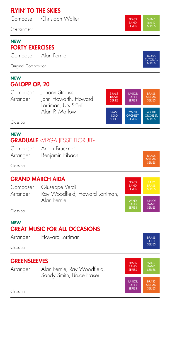## FLYIN' TO THE SKIES

Composer Christoph Walter

Entertainment

#### **NEW** FORTY EXERCISES

Composer Alan Fernie

Original Composition

#### **NEW** GALOPP OP. 20

Composer Johann Strauss Arranger John Howarth, Howard Lorriman, Urs Stähli, Alan P. Marlow



Classical

#### **NEW** GRADUALE «VIRGA JESSE FLORUIT»

| Composer | Anton Bruckner  |
|----------|-----------------|
| Arranger | Benjamin Eibach |

Classical

## GRAND MARCH AIDA

Composer Giuseppe Verdi Arranger Ray Woodfield, Howard Lorriman, Alan Fernie WIND BAND SERIES JUNIOR **BAND** SERIES BRASS BAND **SERIES** 

Classical

#### **NEW** GREAT MUSIC FOR ALL OCCASIONS

Arranger Howard Lorriman Classical

## **GREENSLEEVES**

Classical

Arranger Alan Fernie, Ray Woodfield, Sandy Smith, Bruce Fraser



BRASS SOLO **SERIES** 





**SERIES** 

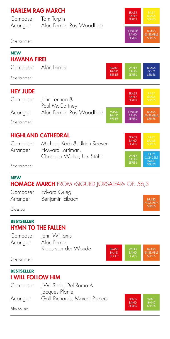## HARLEM RAG MARCH

| Composer | Tom Turpin                 |
|----------|----------------------------|
| Arranger | Alan Fernie, Ray Woodfield |



Entertainment

#### **NEW** HAVANA FIRE! Composer Alan Fernie Entertainment BRASS SOLO **SERIES** BRASS **BAND SERIES** HEY JUDE Composer John Lennon & Paul McCartney Arranger Alan Fernie, Ray Woodfield Entertainment BRASS ENSEMBLE SERIES JUNIOR BAND SERIES BAND BRASS BAND SERIES HIGHLAND CATHEDRAL Composer Michael Korb & Ulrich Roever Arranger Howard Lorriman, Christoph Walter, Urs Stähli Entertainment EASY CONCERT BAND SERIES BRASS BAND SERIES

#### **NEW** HOMAGE MARCH FROM «SIGURD JORSALFAR» OP. 56,3

| Composer | <b>Edvard Grieg</b> |
|----------|---------------------|
| Arranger | Benjamin Eibach     |

Classical

#### **BESTSELLER** HYMN TO THE FALLEN

Composer John Williams Arranger Alan Fernie, Klaas van der Woude

BRASS ENSEMBLE SERIES BRASS BAND SERIES

BRASS **JSFMRL** SERIES

**Entertainment** 

#### **BESTSELLER** I WILL FOLLOW HIM

Composer J.W. Stole, Del Roma & Jacques Plante Arranger Goff Richards, Marcel Peeters



Film Music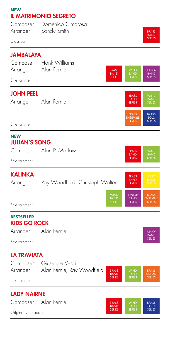| <b>NEW</b>                               | <b>IL MATRIMONIO SEGRETO</b>                                               |                                             |                                                  |
|------------------------------------------|----------------------------------------------------------------------------|---------------------------------------------|--------------------------------------------------|
| Composer                                 | Domenico Cimarosa                                                          |                                             |                                                  |
| Arranger                                 | Sandy Smith                                                                |                                             | <b>BRASS</b><br><b>BAND</b>                      |
| Classical                                |                                                                            |                                             | <b>SERIES</b>                                    |
| <b>JAMBALAYA</b>                         |                                                                            |                                             |                                                  |
| Composer                                 | Hank Williams                                                              |                                             |                                                  |
| Arranger                                 | Alan Fernie<br><b>BRASS</b><br><b>BAND</b><br><b>SERIES</b>                | <b>WIND</b><br><b>BAND</b><br><b>SERIES</b> | <b>JUNIOR</b><br><b>BAND</b><br><b>SERIES</b>    |
| Entertainment                            |                                                                            |                                             |                                                  |
| <b>JOHN PEEL</b>                         |                                                                            | <b>BRASS</b>                                | <b>WIND</b>                                      |
| Arranger                                 | Alan Fernie                                                                | <b>BAND</b><br><b>SERIES</b>                | <b>BAND</b><br><b>SERIES</b>                     |
|                                          |                                                                            | <b>BRASS</b>                                | <b>BRASS</b>                                     |
| Entertainment                            |                                                                            | <b>ENSEMBLE</b><br><b>SERIES</b>            | SOLO<br><b>SERIES</b>                            |
| <b>NEW</b>                               |                                                                            |                                             |                                                  |
| <b>JULIAN'S SONG</b><br>Composer         | Alan P. Marlow                                                             | <b>BRASS</b>                                | <b>WIND</b>                                      |
|                                          |                                                                            | <b>BAND</b><br><b>SERIES</b>                | <b>BAND</b><br>SERIES                            |
| Entertainment                            |                                                                            |                                             |                                                  |
| <b>KALINKA</b>                           |                                                                            | <b>BRASS</b>                                | EASY<br><b>BRASS</b>                             |
| Arranger                                 | Ray Woodfield, Christoph Walter                                            | <b>BAND</b><br><b>SERIES</b>                | <b>SERIES</b>                                    |
|                                          | <b>WIND</b><br><b>BAND</b>                                                 | <b>JUNIOR</b><br><b>BAND</b>                | <b>BRASS</b><br><b>ENSEMBLE</b>                  |
| Entertainment                            | <b>SERIES</b>                                                              | <b>SERIES</b>                               | <b>SERIES</b>                                    |
| <b>BESTSELLER</b><br><b>KIDS GO ROCK</b> |                                                                            |                                             |                                                  |
| Arranger                                 | Alan Fernie                                                                |                                             | <b>JUNIOR</b>                                    |
| Entertainment                            |                                                                            |                                             | <b>BAND</b><br><b>SERIES</b>                     |
| <b>LA TRAVIATA</b>                       |                                                                            |                                             |                                                  |
| Composer                                 | Giuseppe Verdi                                                             |                                             |                                                  |
| Arranger                                 | Alan Fernie, Ray Woodfield<br><b>BRASS</b><br><b>BAND</b><br><b>SERIES</b> | <b>WIND</b><br><b>BAND</b><br><b>SERIES</b> | <b>BRASS</b><br><b>ENSEMBLE</b><br><b>SERIES</b> |
| Entertainment                            |                                                                            |                                             |                                                  |
| <b>LADY NAIRNE</b>                       |                                                                            |                                             |                                                  |
| Composer                                 | Alan Fernie<br><b>BRASS</b><br><b>BAND</b>                                 | <b>WIND</b><br><b>BAND</b>                  | <b>BRASS</b><br>SOLO                             |
| Original Composition                     | <b>SERIES</b>                                                              | <b>SERIES</b>                               | <b>SERIES</b>                                    |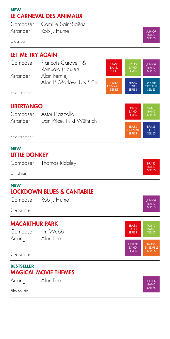## **NEW** LE CARNEVAL DES ANIMAUX

| Composer | Camille Saint-Saëns |
|----------|---------------------|
| Arranger | Rob J. Hume         |

Classical

## LET ME TRY AGAIN

| Composer<br>Arranger | Francois Caravelli &<br>Romuald (Figuier)<br>Alan Fernie, | <b>BRASS</b><br><b>BAND</b><br><b>SERIES</b>     | <b>WIND</b><br><b>BAND</b><br><b>SERIES</b> | <b>JUNIOR</b><br><b>BAND</b><br><b>SERIES</b> |
|----------------------|-----------------------------------------------------------|--------------------------------------------------|---------------------------------------------|-----------------------------------------------|
| Entertainment        | Alan P. Marlow, Urs Stähli                                | <b>BRASS</b><br><b>ENSEMBLE</b><br><b>SERIES</b> | <b>BRASS</b><br>SOLO<br><b>SERIES</b>       | YOUTH<br>ORCHEST.<br><b>SERIES</b>            |

## LIBERTANGO

| Composer | Astor Piazzolla          |
|----------|--------------------------|
| Arranger | Dan Price, Niki Wüthrich |

**Entertainment** 

#### **NEW** LITTLE DONKEY

Composer Thomas Ridgley

Christmas

#### **NEW** LOCKDOWN BLUES & CANTABILE

Composer Rob J. Hume

Entertainment

## MACARTHUR PARK

Composer Jim Webb

Arranger Alan Fernie



BRASS ENSEMBLE

BRASS BAND **SERIES** 

**Entertainment** 

#### **BESTSELLER** MAGICAL MOVIE THEMES

Arranger Alan Fernie

Film Music

JUNIOR BAND SERIES

JUNIOR BAND SERIES

BRASS SOLO **SERIES** 

BRASS BAND SERIES

WIND BAND SERIES

JUNIOR BAND SERIES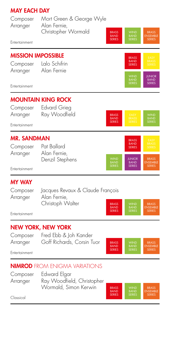## MAY EACH DAY

| Composer | Mort Green & George Wyle |                                              |                                             |                                                  |
|----------|--------------------------|----------------------------------------------|---------------------------------------------|--------------------------------------------------|
| Arranger | Alan Fernie,             |                                              |                                             |                                                  |
| .        | Christopher Wormald      | <b>BRASS</b><br><b>BAND</b><br><b>SERIES</b> | <b>WIND</b><br><b>BAND</b><br><b>SERIES</b> | <b>BRASS</b><br><b>ENSEMBLE</b><br><b>SERIES</b> |

| Entertainment             |                                            |                                              |                                               |
|---------------------------|--------------------------------------------|----------------------------------------------|-----------------------------------------------|
| Composer                  | <b>MISSION IMPOSSIBLE</b><br>Lalo Schifrin | <b>BRASS</b><br><b>BAND</b><br><b>SERIES</b> | <b>FASY</b><br><b>BRASS</b><br><b>SERIES</b>  |
| Arranger<br>Entertainment | Alan Fernie                                | <b>WIND</b><br><b>BAND</b><br><b>SERIES</b>  | <b>JUNIOR</b><br><b>BAND</b><br><b>SERIES</b> |
|                           |                                            |                                              |                                               |

## MOUNTAIN KING ROCK



## MR. SANDMAN

| Composer |
|----------|
| Arranger |

Pat Ballard Alan Fernie Denzil Stephens



Entertainment

## MY WAY

| Composer | Jacques Revaux & Claude François |                                              |                                             |
|----------|----------------------------------|----------------------------------------------|---------------------------------------------|
| Arranger | Alan Fernie,                     |                                              |                                             |
|          | Christoph Walter                 | <b>BRASS</b><br><b>BAND</b><br><b>SERIES</b> | <b>WIND</b><br><b>BAND</b><br><b>SERIES</b> |

Entertainment

## NEW YORK, NEW YORK

| Composer | Fred Ebb & Joh Kander      |
|----------|----------------------------|
| Arranger | Goff Richards, Corsin Tuor |

BRASS ENSEMBLE SERIES WIND BAND SERIES BRASS BAND **SERIES** 

BRASS **NSEMBLE SERIES** 

#### **Entertainment**

## NIMROD FROM ENIGMA VARIATIONS

Composer Edward Elgar Arranger Ray Woodfield, Christopher Wormald, Simon Kerwin



Classical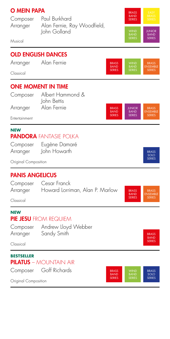| <b>O MEIN PAPA</b>     |                                                 | <b>BRASS</b>                                                                                |                                       |
|------------------------|-------------------------------------------------|---------------------------------------------------------------------------------------------|---------------------------------------|
| Composer               | Paul Burkhard                                   | <b>BAND</b><br><b>SERIES</b>                                                                | <b>BRASS</b><br><b>SERIES</b>         |
| Arranger               | Alan Fernie, Ray Woodfield,<br>John Golland     | <b>WIND</b><br><b>BAND</b>                                                                  | <b>JUNIOR</b><br><b>BAND</b>          |
| Musical                |                                                 | <b>SERIES</b>                                                                               | <b>SERIES</b>                         |
|                        | <b>OLD ENGLISH DANCES</b>                       |                                                                                             |                                       |
| Arranger               | Alan Fernie                                     | <b>WIND</b><br><b>BRASS</b><br><b>BAND</b><br><b>BAND</b>                                   | <b>BRASS</b><br><b>ENSEMBLE</b>       |
| Classical              |                                                 | <b>SERIES</b><br><b>SERIES</b>                                                              | <b>SERIES</b>                         |
|                        | <b>ONE MOMENT IN TIME</b>                       |                                                                                             |                                       |
| Composer               | Albert Hammond &<br>John Bettis                 |                                                                                             |                                       |
| Arranger               | Alan Fernie                                     | <b>BRASS</b><br><b>JUNIOR</b><br><b>BAND</b><br><b>BAND</b>                                 | <b>BRASS</b><br><b>ENSEMBLE</b>       |
| Entertainment          |                                                 | <b>SERIES</b><br><b>SERIES</b>                                                              | <b>SERIES</b>                         |
| <b>NEW</b>             | PANDORA FANTASIE POIKA                          |                                                                                             |                                       |
| Composer               | Eugène Damaré                                   |                                                                                             |                                       |
| Arranger               | John Howarth                                    |                                                                                             | <b>BRASS</b><br>SOLO<br><b>SERIES</b> |
| Original Composition   |                                                 |                                                                                             |                                       |
| <b>PANIS ANGELICUS</b> |                                                 |                                                                                             |                                       |
| Composer<br>Arranger   | Cesar Franck<br>Howard Lorriman, Alan P. Marlow | <b>BRASS</b>                                                                                | <b>BRASS</b>                          |
| Classical              |                                                 | <b>BAND</b><br><b>SERIES</b>                                                                | <b>ENSEMBLE</b><br><b>SERIES</b>      |
| <b>NEW</b>             |                                                 |                                                                                             |                                       |
|                        | PIE JESU FROM REQUIEM                           |                                                                                             |                                       |
| Composer<br>Arranger   | Andrew Lloyd Webber<br>Sandy Smith              |                                                                                             | <b>BRASS</b>                          |
| Classical              |                                                 |                                                                                             | <b>BAND</b><br><b>SERIES</b>          |
| <b>BESTSELLER</b>      |                                                 |                                                                                             |                                       |
|                        | <b>PILATUS - MOUNTAIN AIR</b>                   |                                                                                             |                                       |
| Composer               | Goff Richards                                   | <b>WIND</b><br><b>BRASS</b><br><b>BAND</b><br><b>BAND</b><br><b>SERIES</b><br><b>SERIES</b> | <b>BRASS</b><br>SOLO<br><b>SERIES</b> |
| Original Composition   |                                                 |                                                                                             |                                       |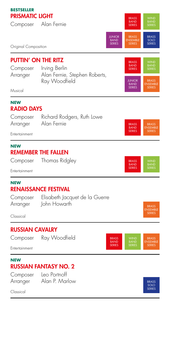**BESTSELLER** PRISMATIC LIGHT

Composer Alan Fernie



Original Composition

| <b>PUTTIN' ON THE RITZ</b> |                                                | <b>BRASS</b>                 | <b>WIND</b>                     |
|----------------------------|------------------------------------------------|------------------------------|---------------------------------|
| Composer                   | Irving Berlin                                  | <b>BAND</b><br><b>SERIES</b> | <b>BAND</b><br><b>SERIES</b>    |
| Arranger                   | Alan Fernie, Stephen Roberts,<br>Ray Woodfield | <b>JUNIOR</b><br><b>BAND</b> | <b>BRASS</b><br><b>ENSEMBLE</b> |
| Musical                    |                                                | <b>SERIES</b>                | <b>SERIES</b>                   |
|                            |                                                |                              |                                 |

#### **NEW** RADIO DAYS

| Composer | Richard Rodgers, Ruth Lowe |  |
|----------|----------------------------|--|
| Arranger | Alan Fernie                |  |

**Entertainment** 

#### **NEW** REMEMBER THE FALLEN

Composer Thomas Ridgley

**Entertainment** 

#### **NEW** RENAISSANCE FESTIVAL

| Composer | Elisabeth Jacquet de la Guerre |  |
|----------|--------------------------------|--|
| Arranger | John Howarth                   |  |

Classical

## RUSSIAN CAVALRY



Entertainment

### **NEW** RUSSIAN FANTASY NO. 2

Composer Leo Portnoff Arranger Alan P. Marlow

Classical



ENSEMBLE SERIES

WIND BAND SERIES

BRASS ENSEMBLE SERIES

BRASS BAND SERIES

**BRASS BAND** SERIES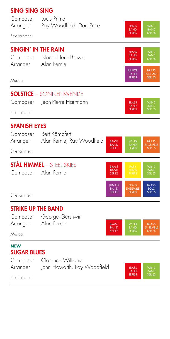| <b>SING SING SING</b>           |                                                       |                              |                                               |                                                  |
|---------------------------------|-------------------------------------------------------|------------------------------|-----------------------------------------------|--------------------------------------------------|
| Composer<br>Arranger            | Louis Prima<br>Ray Woodfield, Dan Price               |                              | <b>BRASS</b><br><b>BAND</b><br><b>SERIES</b>  | <b>WIND</b><br><b>BAND</b><br><b>SERIES</b>      |
| Entertainment                   |                                                       |                              |                                               |                                                  |
|                                 | SINGIN' IN THE RAIN                                   |                              | <b>BRASS</b>                                  | <b>WIND</b>                                      |
| Composer<br>Arranger            | Nacio Herb Brown<br>Alan Fernie                       |                              | <b>BAND</b><br><b>SERIES</b>                  | BAND<br>SERIES                                   |
| Musical                         |                                                       |                              | <b>JUNIOR</b><br><b>BAND</b><br><b>SERIES</b> | <b>BRASS</b><br><b>ENSEMBLE</b><br><b>SERIES</b> |
|                                 |                                                       |                              |                                               |                                                  |
| Composer                        | <b>SOLSTICE - SONNENWENDE</b><br>Jean-Pierre Hartmann |                              |                                               |                                                  |
| Entertainment                   |                                                       |                              | <b>BRASS</b><br><b>BAND</b><br><b>SERIES</b>  | <b>WIND</b><br>BAND<br>SERIES                    |
|                                 |                                                       |                              |                                               |                                                  |
| <b>SPANISH EYES</b><br>Composer | Bert Kämpfert                                         |                              |                                               |                                                  |
| Arranger                        | Alan Fernie, Ray Woodfield                            | <b>BRASS</b><br><b>BAND</b>  | <b>WIND</b><br><b>BAND</b>                    | <b>BRASS</b><br><b>ENSEMBLE</b>                  |
| Entertainment                   |                                                       | <b>SERIES</b>                | <b>SERIES</b>                                 | <b>SERIES</b>                                    |
|                                 | <b>STÅL HIMMEL</b> – STEEL SKIES                      | <b>BRASS</b>                 | EASY                                          | <b>WIND</b>                                      |
| Composer                        | Alan Fernie                                           | <b>BAND</b><br><b>SERIES</b> | <b>BRASS</b><br><b>SERIES</b>                 | <b>BAND</b><br><b>SERIES</b>                     |
|                                 |                                                       | <b>JUNIOR</b><br><b>BAND</b> | <b>BRASS</b><br><b>ENSEMBLE</b>               | <b>BRASS</b><br>SOLO                             |
| Entertainment                   |                                                       | <b>SERIES</b>                | <b>SERIES</b>                                 | <b>SERIES</b>                                    |
| <b>STRIKE UP THE BAND</b>       |                                                       |                              |                                               |                                                  |
| Composer<br>Arranger            | George Gershwin<br>Alan Fernie                        | <b>BRASS</b>                 | <b>WIND</b>                                   | <b>BRASS</b>                                     |
| Musical                         |                                                       | <b>BAND</b><br><b>SERIES</b> | BAND<br>SERIES                                | <b>ENSEMBLE</b><br><b>SERIES</b>                 |
| <b>NEW</b>                      |                                                       |                              |                                               |                                                  |
| <b>SUGAR BLUES</b>              | Composer Clarence Williams                            |                              |                                               |                                                  |
| Arranger                        | John Howarth, Ray Woodfield                           |                              | <b>BRASS</b><br><b>BAND</b>                   | WIND<br>BAND                                     |
| Entertainment                   |                                                       |                              | <b>SERIES</b>                                 | <b>SERIES</b>                                    |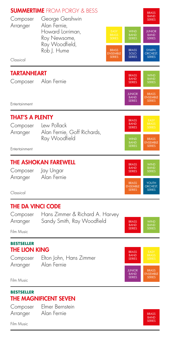|                        | <b>SUMMERTIME</b> FROM PORGY & BESS                           |                                 |                                               | <b>BRASS</b>                                  |
|------------------------|---------------------------------------------------------------|---------------------------------|-----------------------------------------------|-----------------------------------------------|
| Composer<br>Arranger   | George Gershwin<br>Alan Fernie,                               |                                 |                                               | <b>BAND</b><br><b>SERIES</b>                  |
|                        | Howard Lorriman,<br>Roy Newsome,<br>Ray Woodfield,            | EASY<br>BRASS<br><b>SERIES</b>  | WIND<br>BAND<br>SERIES                        | <b>JUNIOR</b><br><b>BAND</b><br><b>SERIES</b> |
|                        | Rob J. Hume                                                   | <b>BRASS</b><br><b>ENSEMBLE</b> | <b>BRASS</b><br>SOLO                          | SYMPH.<br><b>ORCHEST.</b>                     |
| Classical              |                                                               | <b>SERIES</b>                   | <b>SERIES</b>                                 | <b>SERIES</b>                                 |
| <b>TARTANHEART</b>     |                                                               |                                 | <b>BRASS</b>                                  | <b>WIND</b>                                   |
| Composer               | Alan Fernie                                                   |                                 | <b>BAND</b><br><b>SERIES</b>                  | <b>BAND</b><br><b>SERIES</b>                  |
|                        |                                                               |                                 | <b>JUNIOR</b><br><b>BAND</b><br><b>SERIES</b> | <b>BRASS</b><br>ENSEMBLE<br><b>SERIES</b>     |
| Entertainment          |                                                               |                                 |                                               |                                               |
| <b>THAT'S A PLENTY</b> |                                                               |                                 | <b>BRASS</b><br><b>BAND</b>                   | EASY<br>BRASS                                 |
| Composer<br>Arranger   | Lew Pollack<br>Alan Fernie, Goff Richards,                    |                                 | <b>SERIES</b>                                 | <b>SERIES</b>                                 |
|                        | Ray Woodfield                                                 |                                 | WIND<br>BAND<br>SERIES                        | <b>BRASS</b><br><b>ENSEMBLE</b>               |
| Entertainment          |                                                               |                                 |                                               | <b>SERIES</b>                                 |
|                        | <b>THE ASHOKAN FAREWELL</b>                                   |                                 | <b>BRASS</b><br>BAND                          |                                               |
| Composer<br>Arranger   | Jay Ungar<br>Alan Fernie                                      |                                 | <b>SERIES</b>                                 | WIND<br>BAND<br>SERIES                        |
|                        |                                                               |                                 | <b>BRASS</b><br><b>ENSEMBLE</b>               | YOUTH<br><b>ORCHEST.</b>                      |
| Classical              |                                                               |                                 | <b>SERIES</b>                                 | <b>SERIES</b>                                 |
| THE DA VINCI CODE      |                                                               |                                 |                                               |                                               |
| Composer<br>Arranger   | Hans Zimmer & Richard A. Harvey<br>Sandy Smith, Ray Woodfield |                                 | <b>BRASS</b>                                  |                                               |
| Film Music             |                                                               |                                 | <b>BAND</b><br><b>SERIES</b>                  | <b>WIND</b><br><b>BAND</b><br>SERIES          |
| <b>BESTSELLER</b>      |                                                               |                                 |                                               |                                               |
| <b>THE LION KING</b>   |                                                               |                                 | <b>BRASS</b><br><b>BAND</b>                   | EASY<br><b>BRASS</b>                          |
| Composer<br>Arranger   | Elton John, Hans Zimmer<br>Alan Fernie                        |                                 | <b>SERIES</b>                                 | <b>SERIES</b>                                 |
|                        |                                                               |                                 | <b>JUNIOR</b><br><b>BAND</b>                  | <b>BRASS</b><br><b>ENSEMBLE</b>               |
| Film Music             |                                                               |                                 | <b>SERIES</b>                                 | <b>SERIES</b>                                 |
| <b>BESTSELLER</b>      | TUE ALACAHEICENIT CEVENI                                      |                                 |                                               |                                               |

# THE MAGNIFICENT SEVEN

Composer Elmer Bernstein Arranger Alan Fernie

Film Music

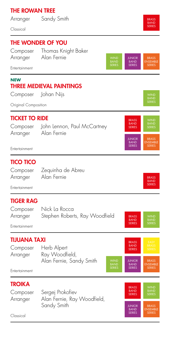## THE ROWAN TREE

Arranger Sandy Smith

Classical

## THE WONDER OF YOU

Composer Thomas Knight Baker Arranger Alan Fernie



**JUNIOR** BAND SERIES

BRASS BAND SERIES

Entertainment

#### **NEW** THREE MEDIEVAL PAINTINGS

| Composer | Johan Nijs |
|----------|------------|
|----------|------------|

Original Composition

## TICKET TO RIDE

Composer John Lennon, Paul McCartney Arranger Alan Fernie

#### Entertainment

## TICO TICO

Composer Zequinha de Abreu Arranger Alan Fernie

**Entertainment** 

## TIGER RAG

|          | Composer Nick La Rocca         |                             |
|----------|--------------------------------|-----------------------------|
| Arranger | Stephen Roberts, Ray Woodfield | <b>BRASS</b><br><b>BAND</b> |
|          |                                | <b>SERIES</b>               |

Entertainment

## TIJUANA TAXI

| Composer | Herb Alpert              |
|----------|--------------------------|
| Arranger | Ray Woodfield,           |
|          | Alan Fernie, Sandy Smith |

**Entertainment** 

## **TROIKA**

|          | Composer Sergej Prokofiev   |
|----------|-----------------------------|
| Arranger | Alan Fernie, Ray Woodfield, |
|          | Sandy Smith                 |



JUNIOR **BAND** SERIES<sub>S</sub>

**BRASS BAND** SERIES

WIND BAND

Classical



**BRASS** BAND SERIES



BRASS SERIES

BRASS BAND SERIES

BAND

BRASS ENSEMBLE SERIES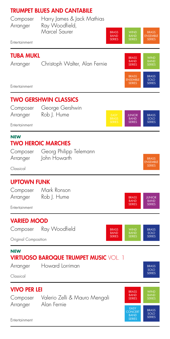## TRUMPET BLUES AND CANTABILE



JUNIOR **BAND** SERIES

BRASS BAND SERIES BRASS SOLO SERIES

BRASS ENSEMBLE SERIES

> JUNIOR BAND **SERIES**

**BRASS** SOLO SERIES

## TWO GERSHWIN CLASSICS

Composer George Gershwin Arranger Rob J. Hume

Entertainment

#### **NEW** TWO HEROIC MARCHES

| Composer | Georg Philipp |
|----------|---------------|
| Arranger | John Howarth  |

Classical

## UPTOWN FUNK

Composer Mark Ronson Arranger Rob J. Hume

Entertainment

## VARIED MOOD



ilipp Telemann

#### **NEW VIRTUOSO BAROQUE TRUMPET MUSIC VOL. 1**

Arranger Howard Lorriman

Classical

 $\overline{\phantom{a}}$ 

| <b>VIVO PER LEI</b><br>Valerio Zelli & Mauro Mengali<br>Composer |             | <b>BRASS</b><br><b>BAND</b><br><b>SERIES</b>           | <b>WIND</b><br><b>BAND</b><br><b>SERIES</b> |
|------------------------------------------------------------------|-------------|--------------------------------------------------------|---------------------------------------------|
| Arranger<br>Entertainment                                        | Alan Fernie | EASY<br><b>CONCERT</b><br><b>BAND</b><br><b>SERIES</b> | <b>BRASS</b><br>SOLO<br><b>SERIES</b>       |

Entertainment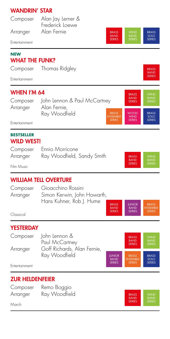## WANDRIN' STAR

| Composer                            | Alan Jay Lerner &<br>Frederick Loewe                          |                                              |                                 |
|-------------------------------------|---------------------------------------------------------------|----------------------------------------------|---------------------------------|
| Arranger                            | Alan Fernie<br><b>BRASS</b><br><b>BAND</b>                    | <b>WIND</b><br><b>BAND</b>                   | <b>BRASS</b><br>SOIO            |
| Entertainment                       | <b>SERIES</b>                                                 | <b>SERIES</b>                                | <b>SERIES</b>                   |
| <b>NEW</b><br><b>WHAT THE FUNK?</b> |                                                               |                                              |                                 |
| Composer                            | Thomas Ridgley                                                |                                              | <b>BRASS</b><br><b>BAND</b>     |
| Entertainment                       |                                                               |                                              | <b>SERIES</b>                   |
| WHEN I'M 64                         |                                                               | <b>BRASS</b>                                 | <b>WIND</b>                     |
| Composer                            | John Lennon & Paul McCartney                                  | <b>BAND</b><br><b>SERIES</b>                 | <b>BAND</b><br><b>SERIES</b>    |
| Arranger                            | Alan Fernie,<br>Ray Woodfield<br><b>BRASS</b>                 | WOOD-                                        | <b>BRASS</b>                    |
| Entertainment                       | <b>ENSEMBLE</b><br><b>SERIES</b>                              | <b>WIND</b><br><b>SERIES</b>                 | SOLO<br><b>SERIES</b>           |
| <b>BESTSELLER</b>                   |                                                               |                                              |                                 |
| WILD WEST!                          |                                                               |                                              |                                 |
| Composer<br>Arranger                | Ennio Morricone<br>Ray Woodfield, Sandy Smith                 | <b>BRASS</b>                                 | <b>WIND</b>                     |
| Film Music                          |                                                               | <b>BAND</b><br><b>SERIES</b>                 | <b>BAND</b><br><b>SERIES</b>    |
|                                     |                                                               |                                              |                                 |
|                                     | WILLIAM TELL OVERTURE                                         |                                              |                                 |
| Composer<br>Arranger                | Gioacchino Rossini<br>Simon Kerwin, John Howarth,             |                                              |                                 |
|                                     | Hans Kuhner, Rob I. Hume<br><b>BRASS</b><br><b>BAND</b>       | <b>JUNIOR</b><br><b>BAND</b>                 | <b>BRASS</b><br><b>ENSEMBLE</b> |
| Classical                           | <b>SERIES</b>                                                 | <b>SERIES</b>                                | <b>SERIES</b>                   |
| YESTERDAY                           |                                                               |                                              |                                 |
| Composer                            | John Lennon &<br>Paul McCartney                               | <b>BRASS</b><br><b>BAND</b><br><b>SERIES</b> | WIND<br>BAND<br>SERIES          |
| Arranger                            | Goff Richards, Alan Fernie,<br>Ray Woodfield<br><b>JUNIOR</b> | <b>BRASS</b>                                 | <b>BRASS</b>                    |
| Entertainment                       | <b>BAND</b><br><b>SERIES</b>                                  | <b>ENSEMBLE</b><br><b>SERIES</b>             | SOLO<br><b>SERIES</b>           |
| <b>ZUR HELDENFEIER</b>              |                                                               |                                              |                                 |
| Composer                            | Remo Boggio                                                   |                                              |                                 |
| Arranger                            | Ray Woodfield                                                 | <b>BRASS</b><br><b>BAND</b>                  | <b>WIND</b><br><b>BAND</b>      |
|                                     |                                                               | <b>SERIES</b>                                | <b>SERIES</b>                   |

March